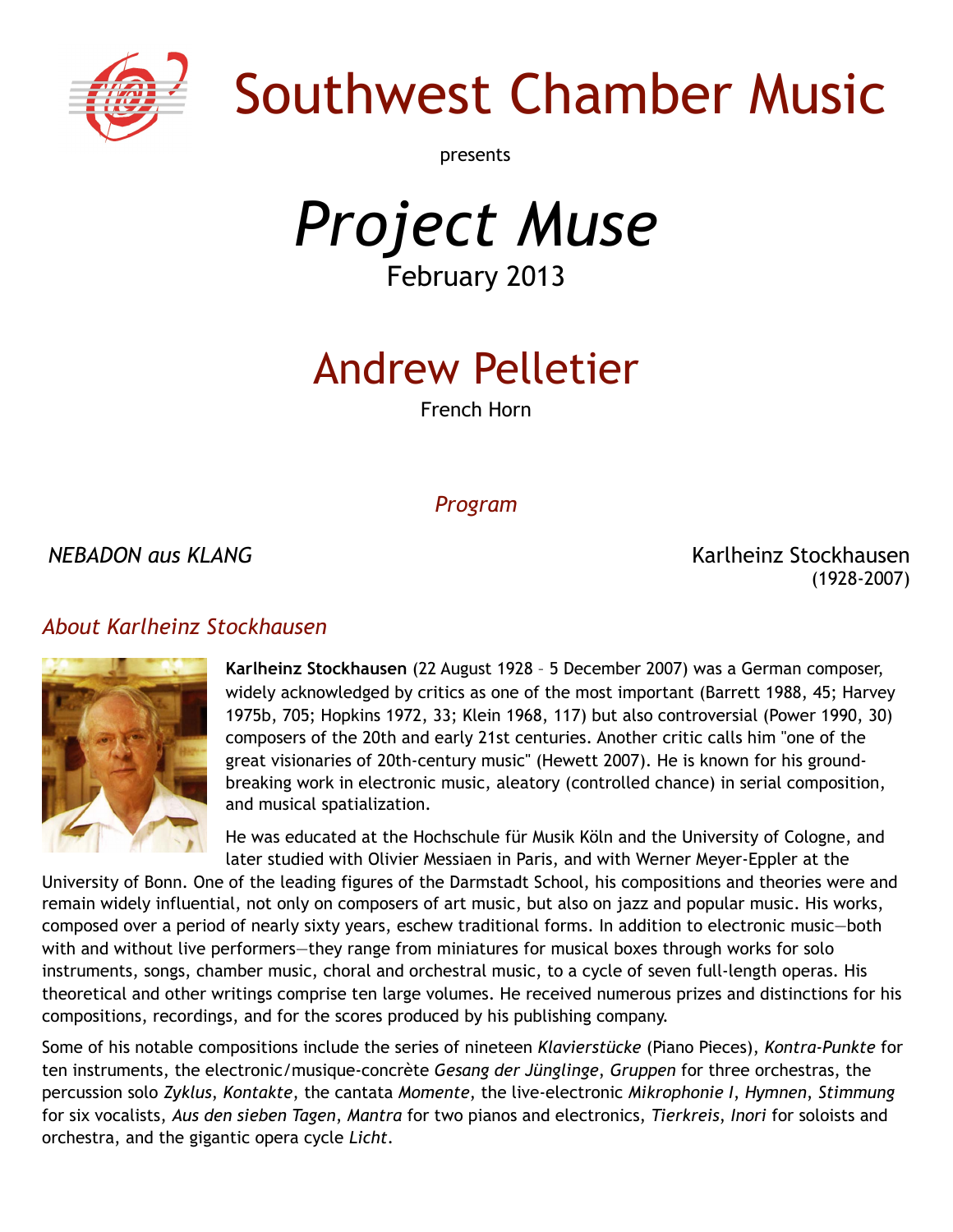

# Southwest Chamber Music

presents

*Project Muse* February 2013

## Andrew Pelletier

French Horn

#### *Program*

*NEBADON aus KLANG* Karlheinz Stockhausen (1928-2007)

#### *About Karlheinz Stockhausen*



**Karlheinz Stockhausen** (22 August 1928 – 5 December 2007) was a German composer, widely acknowledged by critics as one of the most important (Barrett 1988, 45; Harvey 1975b, 705; Hopkins 1972, 33; Klein 1968, 117) but also controversial (Power 1990, 30) composers of the 20th and early 21st centuries. Another critic calls him "one of the great visionaries of 20th-century music" (Hewett 2007). He is known for his groundbreaking work in [electronic music,](http://en.wikipedia.org/wiki/Electronic_music) [aleatory](http://en.wikipedia.org/wiki/Aleatoric_music) (controlled chance) in [serial composition,](http://en.wikipedia.org/wiki/Serialism) and musical [spatialization.](http://en.wikipedia.org/wiki/Spatial_music)

He was educated at the [Hochschule für Musik Köln](http://en.wikipedia.org/wiki/Hochschule_f%C3%BCr_Musik_K%C3%B6ln) and the [University of Cologne,](http://en.wikipedia.org/wiki/University_of_Cologne) and later studied with [Olivier Messiaen](http://en.wikipedia.org/wiki/Olivier_Messiaen) in Paris, and with [Werner Meyer-Eppler](http://en.wikipedia.org/wiki/Werner_Meyer-Eppler) at the

[University of Bonn.](http://en.wikipedia.org/wiki/University_of_Bonn) One of the leading figures of the [Darmstadt School,](http://en.wikipedia.org/wiki/Darmstadt_School) his compositions and theories were and remain widely influential, not only on composers of [art music,](http://en.wikipedia.org/wiki/Art_music) but also on [jazz](http://en.wikipedia.org/wiki/Jazz) and [popular music.](http://en.wikipedia.org/wiki/Popular_music) His works, composed over a period of nearly sixty years, eschew traditional forms. In addition to electronic music—both with and without live performers—they range from miniatures for [musical boxes](http://en.wikipedia.org/wiki/Musical_box) through works for solo instruments, songs, [chamber music,](http://en.wikipedia.org/wiki/Chamber_music) [choral](http://en.wikipedia.org/wiki/Choir) and orchestral music, to a cycle of seven full-length operas. His [theoretical](http://en.wikipedia.org/wiki/Music_theory) and other writings comprise ten large volumes. He received numerous prizes and distinctions for his compositions, recordings, and for the scores produced by his publishing company.

Some of his notable compositions include the series of nineteen *[Klavierstücke](http://en.wikipedia.org/wiki/Klavierst%C3%BCcke_(Stockhausen))* (Piano Pieces), *[Kontra-Punkte](http://en.wikipedia.org/wiki/Kontra-Punkte_(Stockhausen))* for ten instruments, the electronic[/musique-concrète](http://en.wikipedia.org/wiki/Musique_concr%C3%A8te) *[Gesang der Jünglinge](http://en.wikipedia.org/wiki/Gesang_der_J%C3%BCnglinge)*, *[Gruppen](http://en.wikipedia.org/wiki/Gruppen_(Stockhausen))* for three orchestras, the percussion solo *[Zyklus](http://en.wikipedia.org/wiki/Zyklus)*, *[Kontakte](http://en.wikipedia.org/wiki/Kontakte_(Stockhausen))*, the cantata *[Momente](http://en.wikipedia.org/wiki/Momente)*, the live-electronic *[Mikrophonie I](http://en.wikipedia.org/wiki/Mikrophonie_(Stockhausen))*, *[Hymnen](http://en.wikipedia.org/wiki/Hymnen)*, *[Stimmung](http://en.wikipedia.org/wiki/Stimmung)* for six vocalists, *[Aus den sieben Tagen](http://en.wikipedia.org/wiki/Aus_den_sieben_Tagen)*, *[Mantra](http://en.wikipedia.org/wiki/Mantra_(Stockhausen))* for two pianos and electronics, *[Tierkreis](http://en.wikipedia.org/wiki/Tierkreis_(Stockhausen))*, *[Inori](http://en.wikipedia.org/wiki/Inori)* for soloists and orchestra, and the gigantic opera cycle *[Licht](http://en.wikipedia.org/wiki/Licht)*.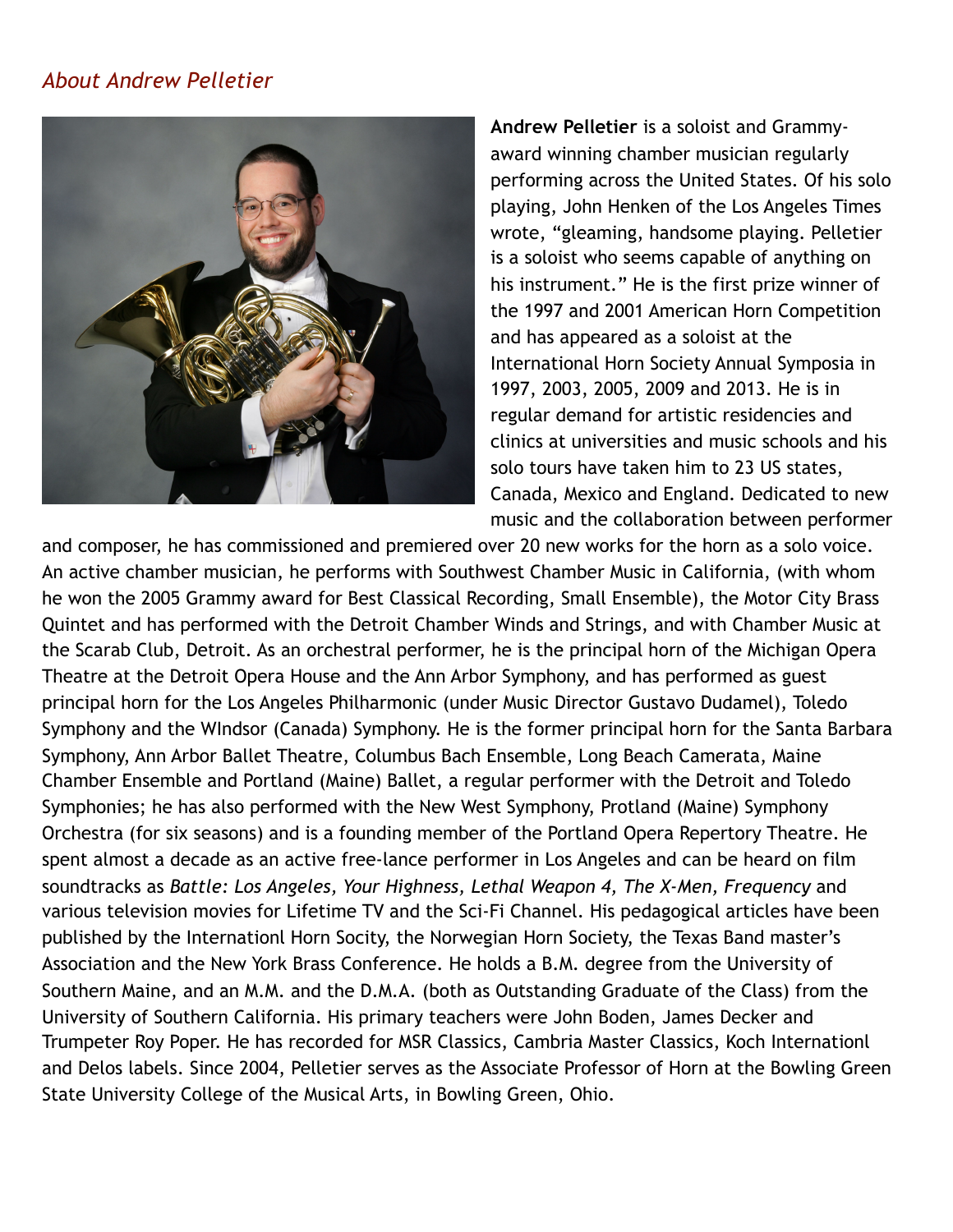#### *About Andrew Pelletier*



**Andrew Pelletier** is a soloist and Grammyaward winning chamber musician regularly performing across the United States. Of his solo playing, John Henken of the Los Angeles Times wrote, "gleaming, handsome playing. Pelletier is a soloist who seems capable of anything on his instrument." He is the first prize winner of the 1997 and 2001 American Horn Competition and has appeared as a soloist at the International Horn Society Annual Symposia in 1997, 2003, 2005, 2009 and 2013. He is in regular demand for artistic residencies and clinics at universities and music schools and his solo tours have taken him to 23 US states, Canada, Mexico and England. Dedicated to new music and the collaboration between performer

and composer, he has commissioned and premiered over 20 new works for the horn as a solo voice. An active chamber musician, he performs with Southwest Chamber Music in California, (with whom he won the 2005 Grammy award for Best Classical Recording, Small Ensemble), the Motor City Brass Quintet and has performed with the Detroit Chamber Winds and Strings, and with Chamber Music at the Scarab Club, Detroit. As an orchestral performer, he is the principal horn of the Michigan Opera Theatre at the Detroit Opera House and the Ann Arbor Symphony, and has performed as guest principal horn for the Los Angeles Philharmonic (under Music Director Gustavo Dudamel), Toledo Symphony and the WIndsor (Canada) Symphony. He is the former principal horn for the Santa Barbara Symphony, Ann Arbor Ballet Theatre, Columbus Bach Ensemble, Long Beach Camerata, Maine Chamber Ensemble and Portland (Maine) Ballet, a regular performer with the Detroit and Toledo Symphonies; he has also performed with the New West Symphony, Protland (Maine) Symphony Orchestra (for six seasons) and is a founding member of the Portland Opera Repertory Theatre. He spent almost a decade as an active free-lance performer in Los Angeles and can be heard on film soundtracks as *Battle: Los Angeles, Your Highness, Lethal Weapon 4, The X-Men, Frequency* and various television movies for Lifetime TV and the Sci-Fi Channel. His pedagogical articles have been published by the Internationl Horn Socity, the Norwegian Horn Society, the Texas Band master's Association and the New York Brass Conference. He holds a B.M. degree from the University of Southern Maine, and an M.M. and the D.M.A. (both as Outstanding Graduate of the Class) from the University of Southern California. His primary teachers were John Boden, James Decker and Trumpeter Roy Poper. He has recorded for MSR Classics, Cambria Master Classics, Koch Internationl and Delos labels. Since 2004, Pelletier serves as the Associate Professor of Horn at the Bowling Green State University College of the Musical Arts, in Bowling Green, Ohio.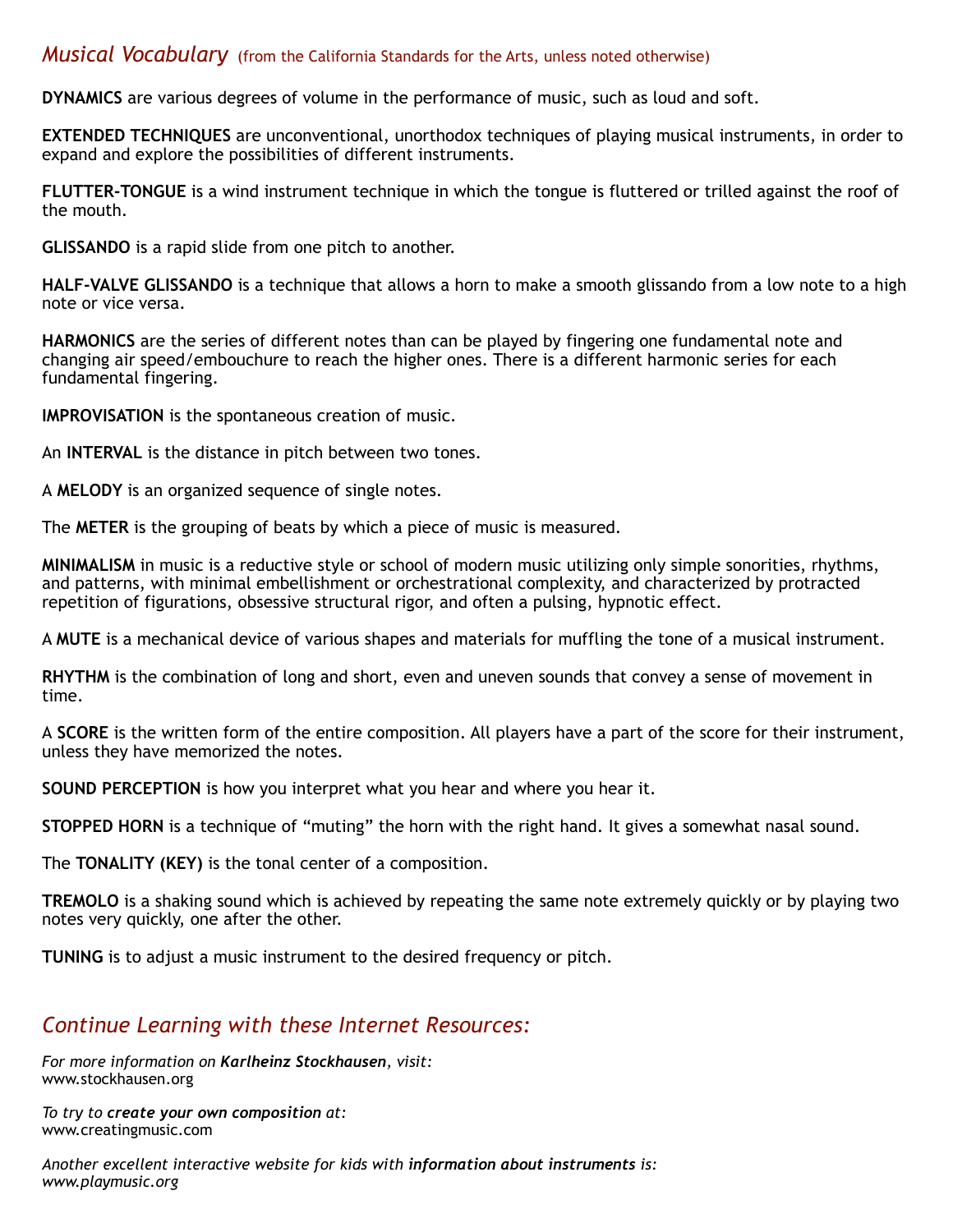#### *Musical Vocabulary* (from the California Standards for the Arts, unless noted otherwise)

**DYNAMICS** are various degrees of volume in the performance of music, such as loud and soft.

**EXTENDED TECHNIQUES** are unconventional, unorthodox techniques of playing musical instruments, in order to expand and explore the possibilities of different instruments.

**FLUTTER-TONGUE** is a wind instrument technique in which the tongue is fluttered or trilled against the roof of the mouth.

**GLISSANDO** is a rapid slide from one pitch to another.

**HALF-VALVE GLISSANDO** is a technique that allows a horn to make a smooth glissando from a low note to a high note or vice versa.

**HARMONICS** are the series of different notes than can be played by fingering one fundamental note and changing air speed/embouchure to reach the higher ones. There is a different harmonic series for each fundamental fingering.

**IMPROVISATION** is the spontaneous creation of music.

An **INTERVAL** is the distance in pitch between two tones.

A **MELODY** is an organized sequence of single notes.

The **METER** is the grouping of beats by which a piece of music is measured.

**MINIMALISM** in music is a reductive style or school of modern music utilizing only simple sonorities, rhythms, and patterns, with minimal embellishment or orchestrational complexity, and characterized by protracted repetition of figurations, obsessive structural rigor, and often a pulsing, hypnotic effect.

A **MUTE** is a mechanical device of various shapes and materials for muffling the tone of a musical instrument.

**RHYTHM** is the combination of long and short, even and uneven sounds that convey a sense of movement in time.

A **SCORE** is the written form of the entire composition. All players have a part of the score for their instrument, unless they have memorized the notes.

**SOUND PERCEPTION** is how you interpret what you hear and where you hear it.

**STOPPED HORN** is a technique of "muting" the horn with the right hand. It gives a somewhat nasal sound.

The **TONALITY (KEY)** is the tonal center of a composition.

**TREMOLO** is a shaking sound which is achieved by repeating the same note extremely quickly or by playing two notes very quickly, one after the other.

**TUNING** is to adjust a music instrument to the desired frequency or pitch.

#### *Continue Learning with these Internet Resources:*

*For more information on Karlheinz Stockhausen, visit:* [www.stockhausen.org](http://www.stockhausen.org)

*To try to create your own composition at:* www.creatingmusic.com

*Another excellent interactive website for kids with information about instruments is: www.playmusic.org*